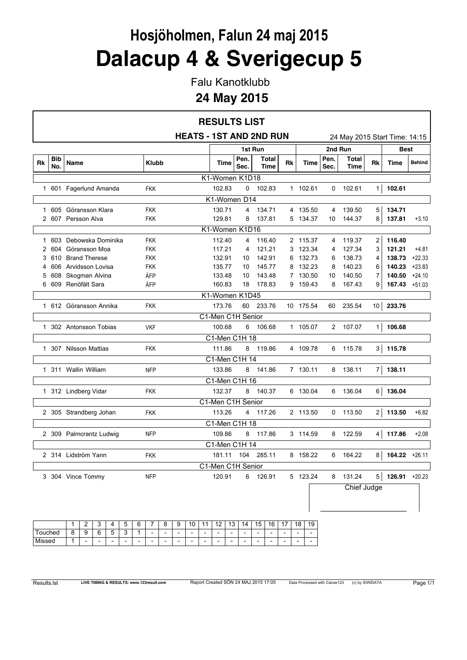# **Hosjöholmen, Falun 24 maj 2015 Dalacup 4 & Sverigecup 5**

Falu Kanotklubb

#### **24 May 2015**

|                |            |                         |              |                                | <b>RESULTS LIST</b> |              |                      |    |             |              |                               |                 |                  |               |
|----------------|------------|-------------------------|--------------|--------------------------------|---------------------|--------------|----------------------|----|-------------|--------------|-------------------------------|-----------------|------------------|---------------|
|                |            |                         |              | <b>HEATS - 1ST AND 2ND RUN</b> |                     |              |                      |    |             |              | 24 May 2015 Start Time: 14:15 |                 |                  |               |
|                |            |                         |              |                                |                     |              | 1st Run              |    |             |              | 2nd Run                       |                 | <b>Best</b>      |               |
| Rk             | Bib<br>No. | Name                    | <b>Klubb</b> |                                | Time                | Pen.<br>Sec. | Total<br><b>Time</b> | Rk | <b>Time</b> | Pen.<br>Sec. | <b>Total</b><br>Time          | Rk              | <b>Time</b>      | <b>Behind</b> |
|                |            |                         |              |                                | K1-Women K1D18      |              |                      |    |             |              |                               |                 |                  |               |
|                |            | 1 601 Fagerlund Amanda  | <b>FKK</b>   |                                | 102.83              | 0            | 102.83               |    | 1 102.61    | 0            | 102.61                        | 1 <sup>1</sup>  | 102.61           |               |
|                |            |                         |              |                                | K1-Women D14        |              |                      |    |             |              |                               |                 |                  |               |
| 1.             | 605        | Göransson Klara         | <b>FKK</b>   |                                | 130.71              | 4            | 134.71               |    | 4 135.50    | 4            | 139.50                        | 5               | 134.71           |               |
| 2              |            | 607 Persson Alva        | <b>FKK</b>   |                                | 129.81              | 8            | 137.81               |    | 5 134.37    | 10           | 144.37                        | 8               | 137.81           | $+3.10$       |
|                |            |                         |              |                                | K1-Women K1D16      |              |                      |    |             |              |                               |                 |                  |               |
| 1              | 603        | Debowska Dominika       | <b>FKK</b>   |                                | 112.40              | 4            | 116.40               |    | 2 115.37    | 4            | 119.37                        | $\overline{2}$  | 116.40           |               |
| 2              | 604        | Göransson Moa           | <b>FKK</b>   |                                | 117.21              | 4            | 121.21               |    | 3 123.34    | 4            | 127.34                        | 3               | 121.21           | $+4.81$       |
| 3              | 610        | <b>Brand Therese</b>    | <b>FKK</b>   |                                | 132.91              | 10           | 142.91               | 6  | 132.73      | 6            | 138.73                        | 4               | 138.73           | $+22.33$      |
| 4              | 606        | Arvidsson Lovisa        | <b>FKK</b>   |                                | 135.77              | 10           | 145.77               | 8  | 132.23      | 8            | 140.23                        | 6               | 140.23           | $+23.83$      |
| 5              | 608        | Skogman Alvina          | ÅFP          |                                | 133.48              | 10           | 143.48               |    | 7 130.50    | 10           | 140.50                        | 7               | 140.50           | $+24.10$      |
| 6              | 609        | Renöfält Sara           | ÅFP          |                                | 160.83              | 18           | 178.83               |    | 9 159.43    | 8            | 167.43                        | 9               | 167.43 +51.03    |               |
| K1-Women K1D45 |            |                         |              |                                |                     |              |                      |    |             |              |                               |                 |                  |               |
|                |            | 1 612 Göransson Annika  | <b>FKK</b>   |                                | 173.76              | 60           | 233.76               |    | 10 175.54   | 60           | 235.54                        | 10 <sup>1</sup> | 233.76           |               |
|                |            |                         |              |                                | C1-Men C1H Senior   |              |                      |    |             |              |                               |                 |                  |               |
|                |            | 1 302 Antonsson Tobias  | <b>VKF</b>   |                                | 100.68              | 6            | 106.68               |    | 1 105.07    |              | 2 107.07                      | 1 <sup>1</sup>  | 106.68           |               |
|                |            |                         |              |                                | C1-Men C1H 18       |              |                      |    |             |              |                               |                 |                  |               |
|                |            | 1 307 Nilsson Mattias   | <b>FKK</b>   |                                | 111.86              | 8            | 119.86               |    | 4 109.78    | 6            | 115.78                        | 3               | 115.78           |               |
|                |            |                         |              |                                | C1-Men C1H 14       |              |                      |    |             |              |                               |                 |                  |               |
|                |            | 1 311 Wallin William    | <b>NFP</b>   |                                | 133.86              | 8            | 141.86               |    | 7 130.11    | 8            | 138.11                        | $\overline{7}$  | 138.11           |               |
|                |            |                         |              |                                | C1-Men C1H 16       |              |                      |    |             |              |                               |                 |                  |               |
|                |            | 1 312 Lindberg Vidar    | <b>FKK</b>   |                                | 132.37              | 8            | 140.37               |    | 6 130.04    | 6            | 136.04                        | 6               | 136.04           |               |
|                |            |                         |              |                                | C1-Men C1H Senior   |              |                      |    |             |              |                               |                 |                  |               |
|                |            | 2 305 Strandberg Johan  | <b>FKK</b>   |                                | 113.26              |              | 4 117.26             |    | 2 113.50    | $\mathbf{0}$ | 113.50                        | $\overline{a}$  | 113.50           | $+6.82$       |
|                |            |                         |              |                                | C1-Men C1H 18       |              |                      |    |             |              |                               |                 |                  |               |
|                |            | 2 309 Palmcrantz Ludwig | <b>NFP</b>   |                                | 109.86              | 8            | 117.86               |    | 3 114.59    | 8            | 122.59                        | 4               | 117.86           | $+2.08$       |
|                |            |                         |              |                                | C1-Men C1H 14       |              |                      |    |             |              |                               |                 |                  |               |
|                |            | 2 314 Lidström Yann     | <b>FKK</b>   |                                | 181.11              | 104          | 285.11               |    | 8 158.22    | 6            | 164.22                        | 8               | 164.22           | $+26.11$      |
|                |            |                         |              |                                | C1-Men C1H Senior   |              |                      |    |             |              |                               |                 |                  |               |
|                |            | 3 304 Vince Tommy       | <b>NFP</b>   |                                | 120.91              |              | 6 126.91             |    | 5 123.24    | 8            | 131.24                        | 5               | $126.91 + 20.23$ |               |
|                |            |                         |              |                                |                     |              |                      |    |             |              | Chief Judge                   |                 |                  |               |
|                |            |                         |              |                                |                     |              |                      |    |             |              |                               |                 |                  |               |
|                |            |                         |              |                                |                     |              |                      |    |             |              |                               |                 |                  |               |
|                |            |                         |              |                                |                     |              |                      |    |             |              |                               |                 |                  |               |
|                |            | 2<br>3<br>5<br>1<br>4   | 8<br>6<br>7  | 10<br>11<br>9                  | 12<br>13            | 14           | 16<br>15             | 17 | 18<br>19    |              |                               |                 |                  |               |
| Touched        |            | 9<br>6<br>3<br>8<br>5   |              |                                |                     |              |                      |    |             |              |                               |                 |                  |               |

Missed 1 - - - - - - - - - - - - - - - - - -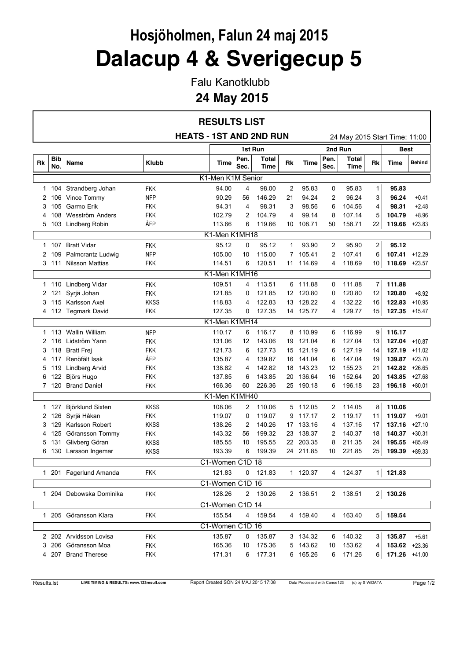# **Hosjöholmen, Falun 24 maj 2015 Dalacup 4 & Sverigecup 5**

Falu Kanotklubb

### **24 May 2015**

|    |                   |                         |              | <b>RESULTS LIST</b>            |              |                      |    |           |              |                               |                |               |               |
|----|-------------------|-------------------------|--------------|--------------------------------|--------------|----------------------|----|-----------|--------------|-------------------------------|----------------|---------------|---------------|
|    |                   |                         |              | <b>HEATS - 1ST AND 2ND RUN</b> |              |                      |    |           |              | 24 May 2015 Start Time: 11:00 |                |               |               |
|    |                   |                         |              |                                |              | 1st Run              |    |           |              | 2nd Run                       |                | <b>Best</b>   |               |
| Rk | <b>Bib</b><br>No. | Name                    | <b>Klubb</b> | Time                           | Pen.<br>Sec. | Total<br><b>Time</b> | Rk | Time      | Pen.<br>Sec. | Total<br>Time                 | Rk             | Time          | <b>Behind</b> |
|    |                   |                         |              | K1-Men K1M Senior              |              |                      |    |           |              |                               |                |               |               |
| 1  |                   | 104 Strandberg Johan    | FKK          | 94.00                          | 4            | 98.00                | 2  | 95.83     | 0            | 95.83                         | 1              | 95.83         |               |
| 2  | 106               | Vince Tommy             | <b>NFP</b>   | 90.29                          | 56           | 146.29               | 21 | 94.24     | 2            | 96.24                         | 3              | 96.24         | +0.41         |
| 3  | 105               | Garmo Erik              | FKK          | 94.31                          | 4            | 98.31                | 3  | 98.56     | 6            | 104.56                        | 4              | 98.31         | $+2.48$       |
| 4  | 108               | Wesström Anders         | FKK          | 102.79                         | 2            | 104.79               | 4  | 99.14     | 8            | 107.14                        | 5              | 104.79        | $+8.96$       |
| 5  | 103               | Lindberg Robin          | ÅFP          | 113.66                         | 6            | 119.66               | 10 | 108.71    | 50           | 158.71                        | 22             | 119.66        | $+23.83$      |
|    |                   |                         |              | K1-Men K1MH18                  |              |                      |    |           |              |                               |                |               |               |
| 1  | 107               | <b>Bratt Vidar</b>      | <b>FKK</b>   | 95.12                          | 0            | 95.12                | 1  | 93.90     | 2            | 95.90                         | $\overline{2}$ | 95.12         |               |
| 2  | 109               | Palmcrantz Ludwig       | <b>NFP</b>   | 105.00                         | 10           | 115.00               | 7. | 105.41    | 2            | 107.41                        | 6              | 107.41        | $+12.29$      |
|    | 3111              | Nilsson Mattias         | <b>FKK</b>   | 114.51                         | 6            | 120.51               |    | 11 114.69 | 4            | 118.69                        | 10             | 118.69        | $+23.57$      |
|    |                   |                         |              | K1-Men K1MH16                  |              |                      |    |           |              |                               |                |               |               |
| 1  | 110               | Lindberg Vidar          | <b>FKK</b>   | 109.51                         | 4            | 113.51               |    | 6 111.88  | 0            | 111.88                        | 7              | 111.88        |               |
| 2  | 121               | Syrjä Johan             | FKK          | 121.85                         | 0            | 121.85               | 12 | 120.80    | 0            | 120.80                        | 12             | 120.80        | $+8.92$       |
| 3  | 115               | Karlsson Axel           | <b>KKSS</b>  | 118.83                         | 4            | 122.83               | 13 | 128.22    | 4            | 132.22                        | 16             | 122.83        | $+10.95$      |
| 4  |                   | 112 Tegmark David       | FKK          | 127.35                         | 0            | 127.35               |    | 14 125.77 | 4            | 129.77                        | 15             | 127.35        | $+15.47$      |
|    |                   |                         |              | K1-Men K1MH14                  |              |                      |    |           |              |                               |                |               |               |
| 1  |                   | 113 Wallin William      | <b>NFP</b>   | 110.17                         | 6            | 116.17               |    | 8 110.99  | 6            | 116.99                        | 9              | 116.17        |               |
| 2  | 116               | Lidström Yann           | FKK          | 131.06                         | 12           | 143.06               | 19 | 121.04    | 6            | 127.04                        | 13             | 127.04        | $+10.87$      |
| 3  | 118               | <b>Bratt Frej</b>       | FKK          | 121.73                         | 6            | 127.73               | 15 | 121.19    | 6            | 127.19                        | 14             | 127.19        | $+11.02$      |
| 4  | 117               | Renöfält Isak           | ÅFP          | 135.87                         | 4            | 139.87               | 16 | 141.04    | 6            | 147.04                        | 19             | 139.87        | $+23.70$      |
| 5  | 119               | <b>Lindberg Arvid</b>   | <b>FKK</b>   | 138.82                         | 4            | 142.82               | 18 | 143.23    | 12           | 155.23                        | 21             | 142.82        | $+26.65$      |
| 6  | 122               | Björs Hugo              | <b>FKK</b>   | 137.85                         | 6            | 143.85               |    | 20 136.64 | 16           | 152.64                        | 20             | 143.85        | $+27.68$      |
|    |                   | 7 120 Brand Daniel      | <b>FKK</b>   | 166.36                         | 60           | 226.36               |    | 25 190.18 | 6            | 196.18                        | 23             | 196.18        | $+80.01$      |
|    |                   |                         |              | K1-Men K1MH40                  |              |                      |    |           |              |                               |                |               |               |
| 1  | 127               | Björklund Sixten        | <b>KKSS</b>  | 108.06                         | 2            | 110.06               |    | 5 112.05  | 2            | 114.05                        | 8              | 110.06        |               |
| 2  | 126               | Syrjä Håkan             | FKK          | 119.07                         | 0            | 119.07               | 9  | 117.17    | 2            | 119.17                        | 11             | 119.07        | $+9.01$       |
| 3  | 129               | Karlsson Robert         | <b>KKSS</b>  | 138.26                         | 2            | 140.26               | 17 | 133.16    | 4            | 137.16                        | 17             | 137.16        | $+27.10$      |
| 4  | 125               | Göransson Tommy         | FKK          | 143.32                         | 56           | 199.32               | 23 | 138.37    | 2            | 140.37                        | 18             | 140.37        | $+30.31$      |
| 5  | 131               | Glivberg Göran          | <b>KKSS</b>  | 185.55                         | 10           | 195.55               |    | 22 203.35 | 8            | 211.35                        | 24             | 195.55        | $+85.49$      |
| 6  | 130               | Larsson Ingemar         | <b>KKSS</b>  | 193.39                         | 6            | 199.39               |    | 24 211.85 | 10           | 221.85                        | 25             | 199.39        | $+89.33$      |
|    |                   |                         |              | C1-Women C1D 18                |              |                      |    |           |              |                               |                |               |               |
|    |                   | 1 201 Fagerlund Amanda  | <b>FKK</b>   | 121.83                         |              | $0$ 121.83           |    | 1 120.37  | 4            | 124.37                        | 1 <sup>1</sup> | 121.83        |               |
|    |                   |                         |              | C1-Women C1D 16                |              |                      |    |           |              |                               |                |               |               |
|    |                   | 1 204 Debowska Dominika | <b>FKK</b>   | 128.26                         |              | 2 130.26             |    | 2 136.51  |              | 2 138.51                      | 2              | 130.26        |               |
|    |                   |                         |              | C1-Women C1D 14                |              |                      |    |           |              |                               |                |               |               |
|    |                   | 1 205 Göransson Klara   | <b>FKK</b>   | 155.54                         | 4            | 159.54               |    | 4 159.40  | 4            | 163.40                        | 5              | 159.54        |               |
|    |                   |                         |              | C1-Women C1D 16                |              |                      |    |           |              |                               |                |               |               |
|    |                   | 2 202 Arvidsson Lovisa  | <b>FKK</b>   | 135.87                         | 0            | 135.87               |    | 3 134.32  | 6            | 140.32                        | 3              | 135.87        | $+5.61$       |
|    |                   | 3 206 Göransson Moa     | <b>FKK</b>   | 165.36                         | 10           | 175.36               |    | 5 143.62  | 10           | 153.62                        | 4              | 153.62 +23.36 |               |
|    |                   | 4 207 Brand Therese     | <b>FKK</b>   | 171.31                         | 6            | 177.31               |    | 6 165.26  | 6            | 171.26                        | 6              | 171.26 +41.00 |               |
|    |                   |                         |              |                                |              |                      |    |           |              |                               |                |               |               |

 $\mathbf{r}$